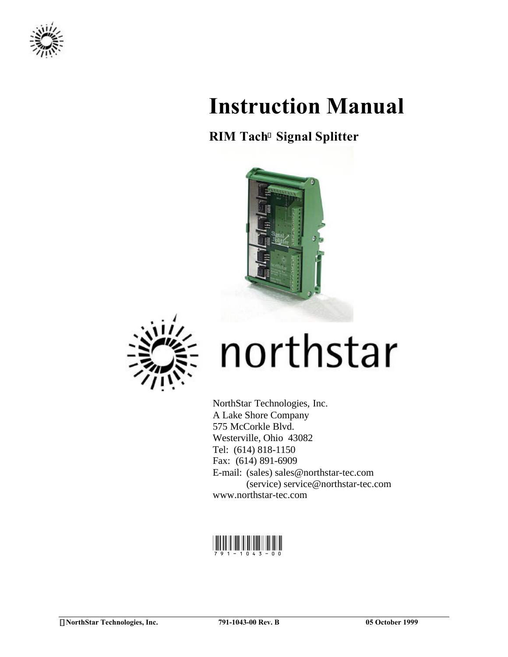

## **Instruction Manual**

## **RIM Tach<sup>â</sup> Signal Splitter**





# northstar

NorthStar Technologies, Inc. A Lake Shore Company 575 McCorkle Blvd. Westerville, Ohio 43082 Tel: (614) 818-1150 Fax: (614) 891-6909 E-mail: (sales) sales@northstar-tec.com (service) service@northstar-tec.com www.northstar-tec.com

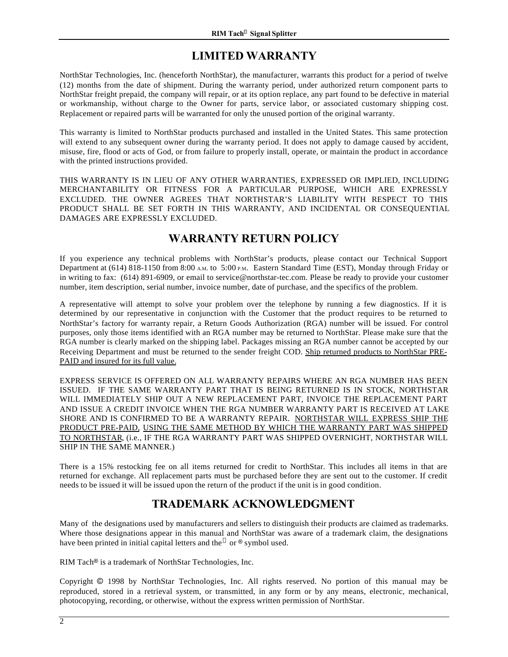## **LIMITED WARRANTY**

NorthStar Technologies, Inc. (henceforth NorthStar), the manufacturer, warrants this product for a period of twelve (12) months from the date of shipment. During the warranty period, under authorized return component parts to NorthStar freight prepaid, the company will repair, or at its option replace, any part found to be defective in material or workmanship, without charge to the Owner for parts, service labor, or associated customary shipping cost. Replacement or repaired parts will be warranted for only the unused portion of the original warranty.

This warranty is limited to NorthStar products purchased and installed in the United States. This same protection will extend to any subsequent owner during the warranty period. It does not apply to damage caused by accident, misuse, fire, flood or acts of God, or from failure to properly install, operate, or maintain the product in accordance with the printed instructions provided.

THIS WARRANTY IS IN LIEU OF ANY OTHER WARRANTIES, EXPRESSED OR IMPLIED, INCLUDING MERCHANTABILITY OR FITNESS FOR A PARTICULAR PURPOSE, WHICH ARE EXPRESSLY EXCLUDED. THE OWNER AGREES THAT NORTHSTAR'S LIABILITY WITH RESPECT TO THIS PRODUCT SHALL BE SET FORTH IN THIS WARRANTY, AND INCIDENTAL OR CONSEQUENTIAL DAMAGES ARE EXPRESSLY EXCLUDED.

## **WARRANTY RETURN POLICY**

If you experience any technical problems with NorthStar's products, please contact our Technical Support Department at (614) 818-1150 from 8:00 A.M. to 5:00 P.M. Eastern Standard Time (EST), Monday through Friday or in writing to fax: (614) 891-6909, or email to service@northstar-tec.com. Please be ready to provide your customer number, item description, serial number, invoice number, date of purchase, and the specifics of the problem.

A representative will attempt to solve your problem over the telephone by running a few diagnostics. If it is determined by our representative in conjunction with the Customer that the product requires to be returned to NorthStar's factory for warranty repair, a Return Goods Authorization (RGA) number will be issued. For control purposes, only those items identified with an RGA number may be returned to NorthStar. Please make sure that the RGA number is clearly marked on the shipping label. Packages missing an RGA number cannot be accepted by our Receiving Department and must be returned to the sender freight COD. Ship returned products to NorthStar PRE-PAID and insured for its full value.

EXPRESS SERVICE IS OFFERED ON ALL WARRANTY REPAIRS WHERE AN RGA NUMBER HAS BEEN ISSUED. IF THE SAME WARRANTY PART THAT IS BEING RETURNED IS IN STOCK, NORTHSTAR WILL IMMEDIATELY SHIP OUT A NEW REPLACEMENT PART, INVOICE THE REPLACEMENT PART AND ISSUE A CREDIT INVOICE WHEN THE RGA NUMBER WARRANTY PART IS RECEIVED AT LAKE SHORE AND IS CONFIRMED TO BE A WARRANTY REPAIR. NORTHSTAR WILL EXPRESS SHIP THE PRODUCT PRE-PAID, USING THE SAME METHOD BY WHICH THE WARRANTY PART WAS SHIPPED TO NORTHSTAR, (i.e., IF THE RGA WARRANTY PART WAS SHIPPED OVERNIGHT, NORTHSTAR WILL SHIP IN THE SAME MANNER.)

There is a 15% restocking fee on all items returned for credit to NorthStar. This includes all items in that are returned for exchange. All replacement parts must be purchased before they are sent out to the customer. If credit needs to be issued it will be issued upon the return of the product if the unit is in good condition.

## **TRADEMARK ACKNOWLEDGMENT**

Many of the designations used by manufacturers and sellers to distinguish their products are claimed as trademarks. Where those designations appear in this manual and NorthStar was aware of a trademark claim, the designations have been printed in initial capital letters and the  $\mathbb{R}^m$  or  $\mathbb{R}$  symbol used.

RIM Tach® is a trademark of NorthStar Technologies, Inc.

Copyright © 1998 by NorthStar Technologies, Inc. All rights reserved. No portion of this manual may be reproduced, stored in a retrieval system, or transmitted, in any form or by any means, electronic, mechanical, photocopying, recording, or otherwise, without the express written permission of NorthStar.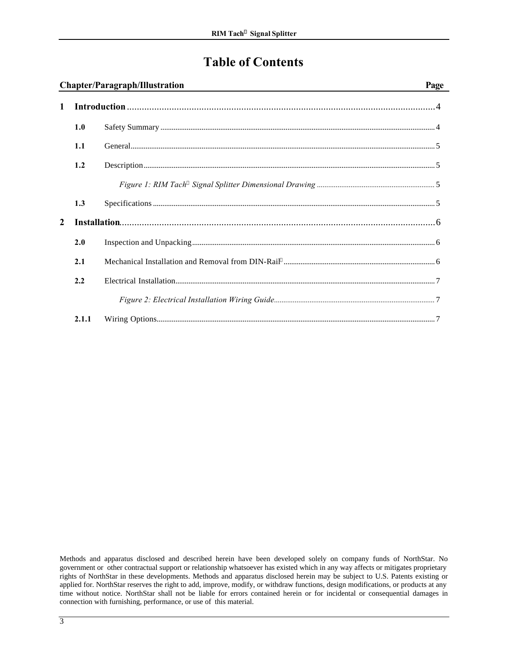## **Table of Contents**

| Chapter/Paragraph/Illustration<br>Page |       |  |  |  |
|----------------------------------------|-------|--|--|--|
| 1                                      |       |  |  |  |
|                                        | 1.0   |  |  |  |
|                                        | 1.1   |  |  |  |
|                                        | 1.2   |  |  |  |
|                                        |       |  |  |  |
|                                        | 1.3   |  |  |  |
| $\mathbf{2}$                           |       |  |  |  |
|                                        | 2.0   |  |  |  |
|                                        | 2.1   |  |  |  |
|                                        | 2.2   |  |  |  |
|                                        |       |  |  |  |
|                                        | 2.1.1 |  |  |  |

Methods and apparatus disclosed and described herein have been developed solely on company funds of NorthStar. No government or other contractual support or relationship whatsoever has existed which in any way affects or mitigates proprietary rights of NorthStar in these developments. Methods and apparatus disclosed herein may be subject to U.S. Patents existing or applied for. NorthStar reserves the right to add, improve, modify, or withdraw functions, design modifications, or products at any time without notice. NorthStar shall not be liable for errors contained herein or for incidental or consequential damages in connection with furnishing, performance, or use of this material.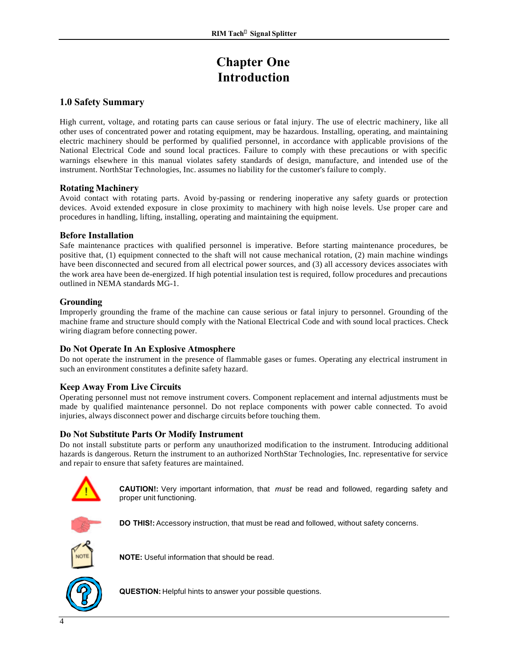## **Chapter One Introduction**

## **1.0 Safety Summary**

High current, voltage, and rotating parts can cause serious or fatal injury. The use of electric machinery, like all other uses of concentrated power and rotating equipment, may be hazardous. Installing, operating, and maintaining electric machinery should be performed by qualified personnel, in accordance with applicable provisions of the National Electrical Code and sound local practices. Failure to comply with these precautions or with specific warnings elsewhere in this manual violates safety standards of design, manufacture, and intended use of the instrument. NorthStar Technologies, Inc. assumes no liability for the customer's failure to comply.

#### **Rotating Machinery**

Avoid contact with rotating parts. Avoid by-passing or rendering inoperative any safety guards or protection devices. Avoid extended exposure in close proximity to machinery with high noise levels. Use proper care and procedures in handling, lifting, installing, operating and maintaining the equipment.

#### **Before Installation**

Safe maintenance practices with qualified personnel is imperative. Before starting maintenance procedures, be positive that, (1) equipment connected to the shaft will not cause mechanical rotation, (2) main machine windings have been disconnected and secured from all electrical power sources, and (3) all accessory devices associates with the work area have been de-energized. If high potential insulation test is required, follow procedures and precautions outlined in NEMA standards MG-1.

#### **Grounding**

Improperly grounding the frame of the machine can cause serious or fatal injury to personnel. Grounding of the machine frame and structure should comply with the National Electrical Code and with sound local practices. Check wiring diagram before connecting power.

## **Do Not Operate In An Explosive Atmosphere**

Do not operate the instrument in the presence of flammable gases or fumes. Operating any electrical instrument in such an environment constitutes a definite safety hazard.

## **Keep Away From Live Circuits**

Operating personnel must not remove instrument covers. Component replacement and internal adjustments must be made by qualified maintenance personnel. Do not replace components with power cable connected. To avoid injuries, always disconnect power and discharge circuits before touching them.

## **Do Not Substitute Parts Or Modify Instrument**

Do not install substitute parts or perform any unauthorized modification to the instrument. Introducing additional hazards is dangerous. Return the instrument to an authorized NorthStar Technologies, Inc. representative for service and repair to ensure that safety features are maintained.



**CAUTION!:** Very important information, that *must* be read and followed, regarding safety and proper unit functioning.



**DO THIS!:** Accessory instruction, that must be read and followed, without safety concerns.



**NOTE:** Useful information that should be read.



**QUESTION:** Helpful hints to answer your possible questions.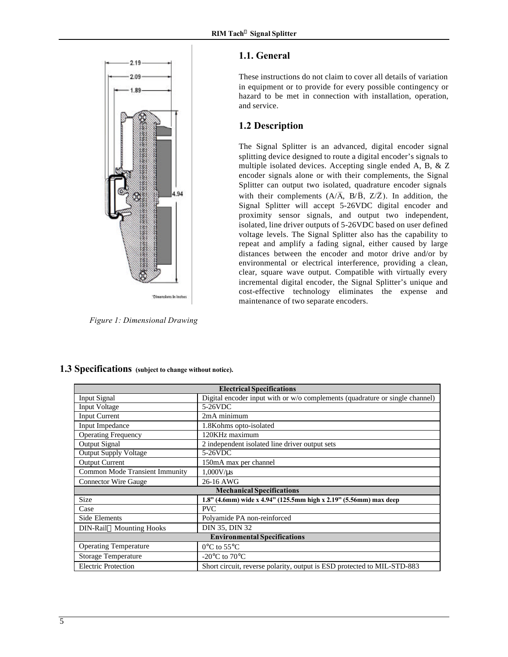## **1.1. General**



## **1.2 Description**

he Signal Splitter is an advanced, digital encoder signal splitting device designed to route a digital encoder's signals to multiple isolated devices. Accepting single ended A, B, & Z encoder signals alone or with their complements, the Signal plitter can output two isolated, quadrature encoder signals vith their complements  $(A/\overline{A}, B/\overline{B}, Z/\overline{Z})$ . In addition, the ignal Splitter will accept 5-26VDC digital encoder and roximity sensor signals, and output two independent, isolated, line driver outputs of 5-26VDC based on user defined oltage levels. The Signal Splitter also has the capability to epeat and amplify a fading signal, either caused by large istances between the encoder and motor drive and/or by nvironmental or electrical interference, providing a clean, lear, square wave output. Compatible with virtually every incremental digital encoder, the Signal Splitter's unique and ost-effective technology eliminates the expense and maintenance of two separate encoders.

|                                                | aı                |
|------------------------------------------------|-------------------|
|                                                | $\mathbf{1}$      |
|                                                | T                 |
|                                                | <sup>S</sup>      |
|                                                | $\mathbf{m}$      |
|                                                | e <sub>1</sub>    |
|                                                | $S_{\frac{1}{2}}$ |
| 4.94                                           | W                 |
|                                                | S                 |
|                                                | p <sub>1</sub>    |
|                                                | is                |
|                                                | $\mathbf{V}$      |
|                                                | $r\epsilon$       |
|                                                | $\mathbf{d}$      |
|                                                | e <sub>1</sub>    |
|                                                | c <sub>1</sub>    |
|                                                | $\mathbf{in}$     |
| 'Dimensions in inches                          | $\mathbf{C}$      |
|                                                | $\mathbf{m}$      |
| Figure 1: Dimensional Drawing                  |                   |
|                                                |                   |
|                                                |                   |
| cifications (enbiget to change without notice) |                   |

 $2.19 -$ 2.09  $1.89 -$ 

| <b>Electrical Specifications</b>           |                                                                              |  |  |  |  |
|--------------------------------------------|------------------------------------------------------------------------------|--|--|--|--|
| Input Signal                               | Digital encoder input with or w/o complements (quadrature or single channel) |  |  |  |  |
| <b>Input Voltage</b>                       | 5-26VDC                                                                      |  |  |  |  |
| <b>Input Current</b>                       | 2mA minimum                                                                  |  |  |  |  |
| <b>Input Impedance</b>                     | 1.8Kohms opto-isolated                                                       |  |  |  |  |
| <b>Operating Frequency</b>                 | 120KHz maximum                                                               |  |  |  |  |
| Output Signal                              | 2 independent isolated line driver output sets                               |  |  |  |  |
| <b>Output Supply Voltage</b>               | 5-26VDC                                                                      |  |  |  |  |
| <b>Output Current</b>                      | 150mA max per channel                                                        |  |  |  |  |
| Common Mode Transient Immunity             | $1,000V$ /us                                                                 |  |  |  |  |
| <b>Connector Wire Gauge</b>                | 26-16 AWG                                                                    |  |  |  |  |
| <b>Mechanical Specifications</b>           |                                                                              |  |  |  |  |
| <b>Size</b>                                | 1.8" (4.6mm) wide x 4.94" (125.5mm high x 2.19" (5.56mm) max deep            |  |  |  |  |
| Case                                       | <b>PVC</b>                                                                   |  |  |  |  |
| Side Elements                              | Polyamide PA non-reinforced                                                  |  |  |  |  |
| <b>DIN-Rail<sup>®</sup></b> Mounting Hooks | DIN 35, DIN 32                                                               |  |  |  |  |
| <b>Environmental Specifications</b>        |                                                                              |  |  |  |  |
| <b>Operating Temperature</b>               | $0^{\circ}$ C to 55 $^{\circ}$ C                                             |  |  |  |  |
| <b>Storage Temperature</b>                 | -20 $\rm{^{\circ}C}$ to 70 $\rm{^{\circ}C}$                                  |  |  |  |  |
| <b>Electric Protection</b>                 | Short circuit, reverse polarity, output is ESD protected to MIL-STD-883      |  |  |  |  |

## **1.3 Specifications (subject to change without notice).**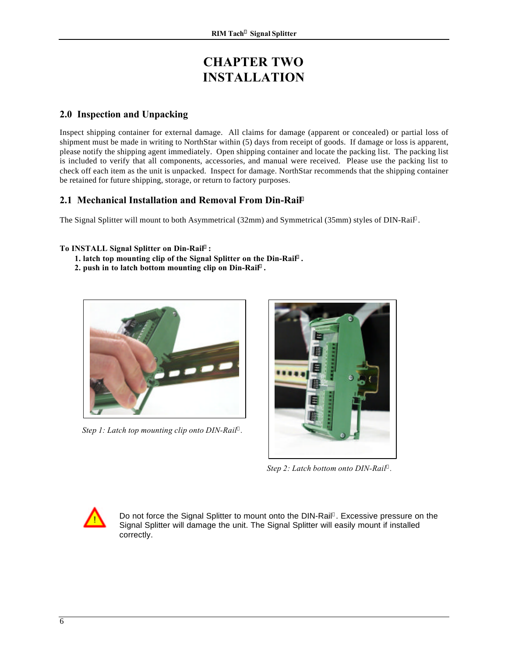## **CHAPTER TWO INSTALLATION**

## **2.0 Inspection and Unpacking**

Inspect shipping container for external damage. All claims for damage (apparent or concealed) or partial loss of shipment must be made in writing to NorthStar within (5) days from receipt of goods. If damage or loss is apparent, please notify the shipping agent immediately. Open shipping container and locate the packing list. The packing list is included to verify that all components, accessories, and manual were received. Please use the packing list to check off each item as the unit is unpacked. Inspect for damage. NorthStar recommends that the shipping container be retained for future shipping, storage, or return to factory purposes.

## **2.1 Mechanical Installation and Removal From Din-Rail<sup>â</sup>**

The Signal Splitter will mount to both Asymmetrical (32mm) and Symmetrical (35mm) styles of DIN-Rail .

## **To INSTALL Signal Splitter on Din-Rail<sup>â</sup> :**

- **1. latch top mounting clip of the Signal Splitter on the Din-Rail<sup>â</sup> .**
- **2. push in to latch bottom mounting clip on Din-Rail<sup>â</sup> .**



*Step 1: Latch top mounting clip onto DIN-Rail .*



*Step 2: Latch bottom onto DIN-Rail .*



Do not force the Signal Splitter to mount onto the DIN-Rail . Excessive pressure on the Signal Splitter will damage the unit. The Signal Splitter will easily mount if installed correctly.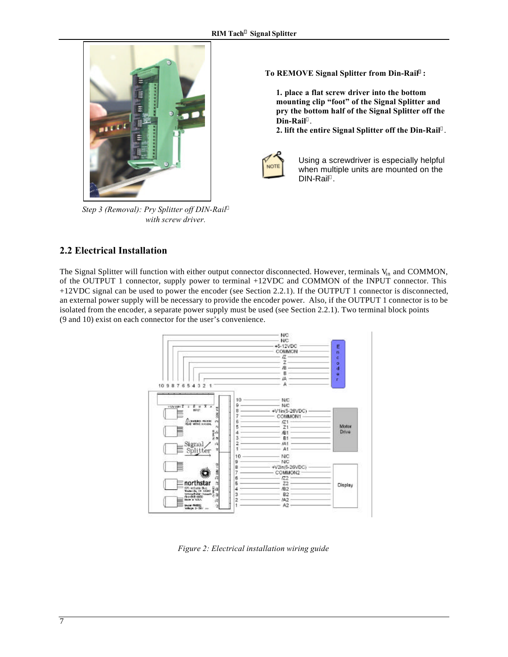

*Step 3 (Removal): Pry Splitter off DIN-Rail<sup>â</sup> with screw driver.*

**To REMOVE Signal Splitter from Din-Rail<sup>â</sup> :**

**1. place a flat screw driver into the bottom mounting clip "foot" of the Signal Splitter and pry the bottom half of the Signal Splitter off the Din-Rail** .

**2. lift the entire Signal Splitter off the Din-Rail** .



Using a screwdriver is especially helpful when multiple units are mounted on the DIN-Rail<sup>®</sup>.

## **2.2 Electrical Installation**

The Signal Splitter will function with either output connector disconnected. However, terminals  $V_{in}$  and COMMON, of the OUTPUT 1 connector, supply power to terminal +12VDC and COMMON of the INPUT connector. This +12VDC signal can be used to power the encoder (see Section 2.2.1). If the OUTPUT 1 connector is disconnected, an external power supply will be necessary to provide the encoder power. Also, if the OUTPUT 1 connector is to be isolated from the encoder, a separate power supply must be used (see Section 2.2.1). Two terminal block points (9 and 10) exist on each connector for the user's convenience.



*Figure 2: Electrical installation wiring guide*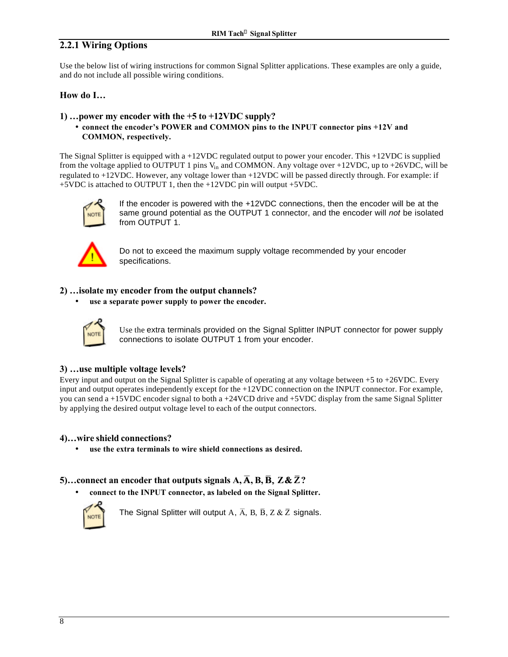## **2.2.1 Wiring Options**

Use the below list of wiring instructions for common Signal Splitter applications. These examples are only a guide, and do not include all possible wiring conditions.

## **How do I…**

## **1) …power my encoder with the +5 to +12VDC supply?**

#### • **connect the encoder's POWER and COMMON pins to the INPUT connector pins +12V and COMMON, respectively.**

The Signal Splitter is equipped with a +12VDC regulated output to power your encoder. This +12VDC is supplied from the voltage applied to OUTPUT 1 pins  $V_{in}$  and COMMON. Any voltage over +12VDC, up to +26VDC, will be regulated to +12VDC. However, any voltage lower than +12VDC will be passed directly through. For example: if +5VDC is attached to OUTPUT 1, then the +12VDC pin will output +5VDC.



If the encoder is powered with the +12VDC connections, then the encoder will be at the same ground potential as the OUTPUT 1 connector, and the encoder will *not* be isolated from OUTPUT 1.



Do not to exceed the maximum supply voltage recommended by your encoder specifications.

#### **2) …isolate my encoder from the output channels?**

• **use a separate power supply to power the encoder.**



Use the extra terminals provided on the Signal Splitter INPUT connector for power supply connections to isolate OUTPUT 1 from your encoder.

## **3) …use multiple voltage levels?**

Every input and output on the Signal Splitter is capable of operating at any voltage between  $+5$  to  $+26$ VDC. Every input and output operates independently except for the +12VDC connection on the INPUT connector. For example, you can send a +15VDC encoder signal to both a +24VCD drive and +5VDC display from the same Signal Splitter by applying the desired output voltage level to each of the output connectors.

## **4)…wire shield connections?**

• **use the extra terminals to wire shield connections as desired.**

## **5)...connect an encoder that outputs signals**  $\overline{A}$ **,**  $\overline{A}$ **,**  $\overline{B}$ **,**  $\overline{B}$ **,**  $\overline{Z}$  **&**  $\overline{Z}$ **?**

• **connect to the INPUT connector, as labeled on the Signal Splitter.**



The Signal Splitter will output A,  $\overline{A}$ , B,  $\overline{B}$ , Z &  $\overline{Z}$  signals.